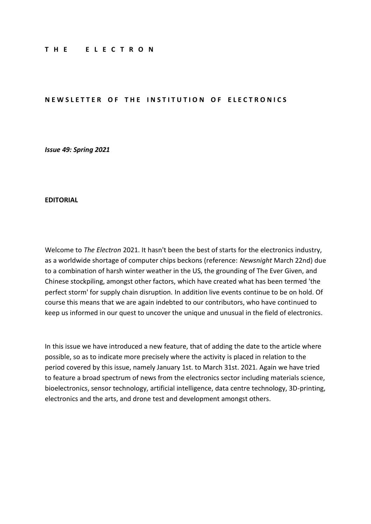#### **T H E E L E C T R O N**

#### **NEWSLETTER OF THE INSTITUTION OF ELECTRONICS**

*Issue 49: Spring 2021*

#### **EDITORIAL**

Welcome to *The Electron* 2021. It hasn't been the best of starts for the electronics industry, as a worldwide shortage of computer chips beckons (reference: *Newsnight* March 22nd) due to a combination of harsh winter weather in the US, the grounding of The Ever Given, and Chinese stockpiling, amongst other factors, which have created what has been termed 'the perfect storm' for supply chain disruption. In addition live events continue to be on hold. Of course this means that we are again indebted to our contributors, who have continued to keep us informed in our quest to uncover the unique and unusual in the field of electronics.

In this issue we have introduced a new feature, that of adding the date to the article where possible, so as to indicate more precisely where the activity is placed in relation to the period covered by this issue, namely January 1st. to March 31st. 2021. Again we have tried to feature a broad spectrum of news from the electronics sector including materials science, bioelectronics, sensor technology, artificial intelligence, data centre technology, 3D-printing, electronics and the arts, and drone test and development amongst others.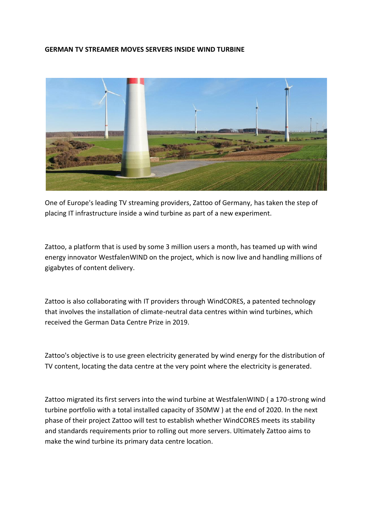### **GERMAN TV STREAMER MOVES SERVERS INSIDE WIND TURBINE**



One of Europe's leading TV streaming providers, Zattoo of Germany, has taken the step of placing IT infrastructure inside a wind turbine as part of a new experiment.

Zattoo, a platform that is used by some 3 million users a month, has teamed up with wind energy innovator WestfalenWIND on the project, which is now live and handling millions of gigabytes of content delivery.

Zattoo is also collaborating with IT providers through WindCORES, a patented technology that involves the installation of climate-neutral data centres within wind turbines, which received the German Data Centre Prize in 2019.

Zattoo's objective is to use green electricity generated by wind energy for the distribution of TV content, locating the data centre at the very point where the electricity is generated.

Zattoo migrated its first servers into the wind turbine at WestfalenWIND ( a 170-strong wind turbine portfolio with a total installed capacity of 350MW ) at the end of 2020. In the next phase of their project Zattoo will test to establish whether WindCORES meets its stability and standards requirements prior to rolling out more servers. Ultimately Zattoo aims to make the wind turbine its primary data centre location.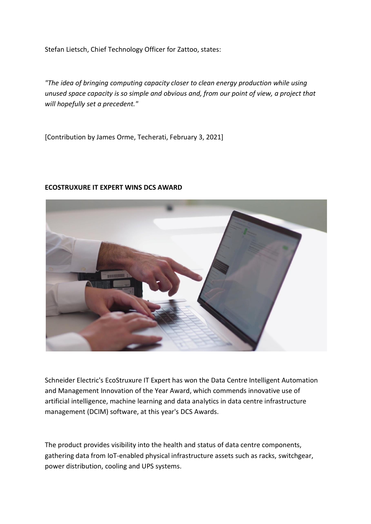Stefan Lietsch, Chief Technology Officer for Zattoo, states:

*"The idea of bringing computing capacity closer to clean energy production while using unused space capacity is so simple and obvious and, from our point of view, a project that will hopefully set a precedent."*

[Contribution by James Orme, Techerati, February 3, 2021]



### **ECOSTRUXURE IT EXPERT WINS DCS AWARD**

Schneider Electric's EcoStruxure IT Expert has won the Data Centre Intelligent Automation and Management Innovation of the Year Award, which commends innovative use of artificial intelligence, machine learning and data analytics in data centre infrastructure management (DCIM) software, at this year's DCS Awards.

The product provides visibility into the health and status of data centre components, gathering data from IoT-enabled physical infrastructure assets such as racks, switchgear, power distribution, cooling and UPS systems.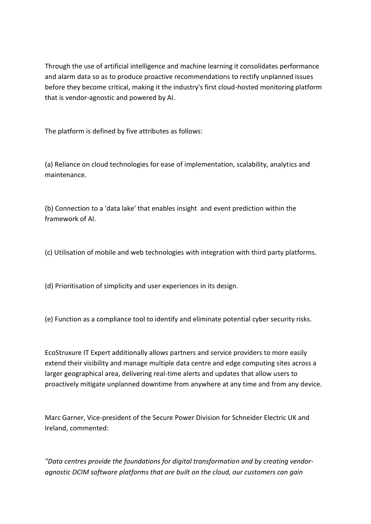Through the use of artificial intelligence and machine learning it consolidates performance and alarm data so as to produce proactive recommendations to rectify unplanned issues before they become critical, making it the industry's first cloud-hosted monitoring platform that is vendor-agnostic and powered by AI.

The platform is defined by five attributes as follows:

(a) Reliance on cloud technologies for ease of implementation, scalability, analytics and maintenance.

(b) Connection to a 'data lake' that enables insight and event prediction within the framework of AI.

(c) Utilisation of mobile and web technologies with integration with third party platforms.

(d) Prioritisation of simplicity and user experiences in its design.

(e) Function as a compliance tool to identify and eliminate potential cyber security risks.

EcoStruxure IT Expert additionally allows partners and service providers to more easily extend their visibility and manage multiple data centre and edge computing sites across a larger geographical area, delivering real-time alerts and updates that allow users to proactively mitigate unplanned downtime from anywhere at any time and from any device.

Marc Garner, Vice-president of the Secure Power Division for Schneider Electric UK and Ireland, commented:

*"Data centres provide the foundations for digital transformation and by creating vendoragnostic DCIM software platforms that are built on the cloud, our customers can gain*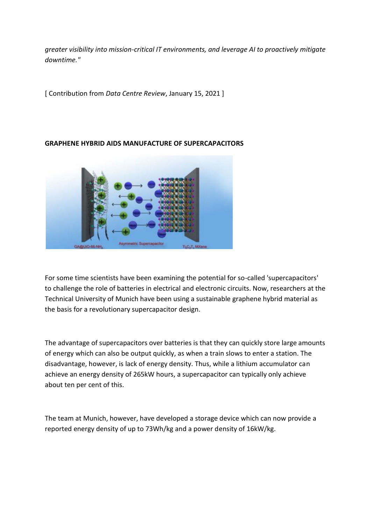*greater visibility into mission-critical IT environments, and leverage AI to proactively mitigate downtime."*

[ Contribution from *Data Centre Review*, January 15, 2021 ]

## **GRAPHENE HYBRID AIDS MANUFACTURE OF SUPERCAPACITORS**



For some time scientists have been examining the potential for so-called 'supercapacitors' to challenge the role of batteries in electrical and electronic circuits. Now, researchers at the Technical University of Munich have been using a sustainable graphene hybrid material as the basis for a revolutionary supercapacitor design.

The advantage of supercapacitors over batteries is that they can quickly store large amounts of energy which can also be output quickly, as when a train slows to enter a station. The disadvantage, however, is lack of energy density. Thus, while a lithium accumulator can achieve an energy density of 265kW hours, a supercapacitor can typically only achieve about ten per cent of this.

The team at Munich, however, have developed a storage device which can now provide a reported energy density of up to 73Wh/kg and a power density of 16kW/kg.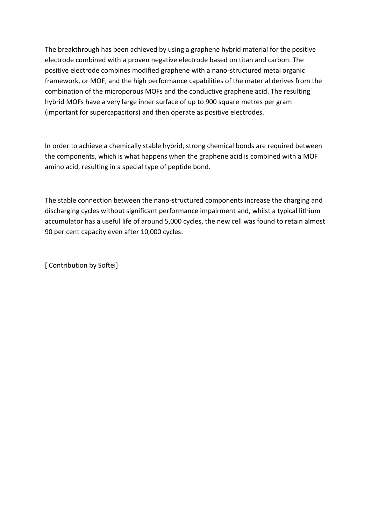The breakthrough has been achieved by using a graphene hybrid material for the positive electrode combined with a proven negative electrode based on titan and carbon. The positive electrode combines modified graphene with a nano-structured metal organic framework, or MOF, and the high performance capabilities of the material derives from the combination of the microporous MOFs and the conductive graphene acid. The resulting hybrid MOFs have a very large inner surface of up to 900 square metres per gram (important for supercapacitors) and then operate as positive electrodes.

In order to achieve a chemically stable hybrid, strong chemical bonds are required between the components, which is what happens when the graphene acid is combined with a MOF amino acid, resulting in a special type of peptide bond.

The stable connection between the nano-structured components increase the charging and discharging cycles without significant performance impairment and, whilst a typical lithium accumulator has a useful life of around 5,000 cycles, the new cell was found to retain almost 90 per cent capacity even after 10,000 cycles.

[ Contribution by Softei]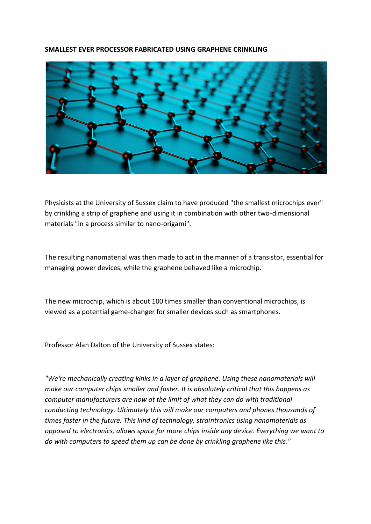### **SMALLEST EVER PROCESSOR FABRICATED USING GRAPHENE CRINKLING**



Physicists at the University of Sussex claim to have produced "the smallest microchips ever" by crinkling a strip of graphene and using it in combination with other two-dimensional materials "in a process similar to nano-origami".

The resulting nanomaterial was then made to act in the manner of a transistor, essential for managing power devices, while the graphene behaved like a microchip.

The new microchip, which is about 100 times smaller than conventional microchips, is viewed as a potential game-changer for smaller devices such as smartphones.

Professor Alan Dalton of the University of Sussex states:

*"We're mechanically creating kinks in a layer of graphene. Using these nanomaterials will make our computer chips smaller and faster. It is absolutely critical that this happens as computer manufacturers are now at the limit of what they can do with traditional conducting technology. Ultimately this will make our computers and phones thousands of times faster in the future. This kind of technology, straintronics using nanomaterials as opposed to electronics, allows space for more chips inside any device. Everything we want to do with computers to speed them up can be done by crinkling graphene like this."*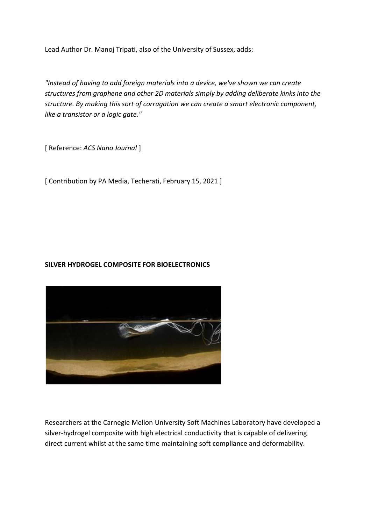Lead Author Dr. Manoj Tripati, also of the University of Sussex, adds:

*"Instead of having to add foreign materials into a device, we've shown we can create structures from graphene and other 2D materials simply by adding deliberate kinks into the structure. By making this sort of corrugation we can create a smart electronic component, like a transistor or a logic gate."*

[ Reference: *ACS Nano Journal* ]

[ Contribution by PA Media, Techerati, February 15, 2021 ]

## **SILVER HYDROGEL COMPOSITE FOR BIOELECTRONICS**



Researchers at the Carnegie Mellon University Soft Machines Laboratory have developed a silver-hydrogel composite with high electrical conductivity that is capable of delivering direct current whilst at the same time maintaining soft compliance and deformability.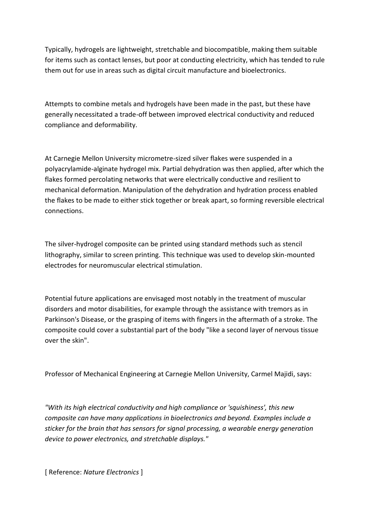Typically, hydrogels are lightweight, stretchable and biocompatible, making them suitable for items such as contact lenses, but poor at conducting electricity, which has tended to rule them out for use in areas such as digital circuit manufacture and bioelectronics.

Attempts to combine metals and hydrogels have been made in the past, but these have generally necessitated a trade-off between improved electrical conductivity and reduced compliance and deformability.

At Carnegie Mellon University micrometre-sized silver flakes were suspended in a polyacrylamide-alginate hydrogel mix. Partial dehydration was then applied, after which the flakes formed percolating networks that were electrically conductive and resilient to mechanical deformation. Manipulation of the dehydration and hydration process enabled the flakes to be made to either stick together or break apart, so forming reversible electrical connections.

The silver-hydrogel composite can be printed using standard methods such as stencil lithography, similar to screen printing. This technique was used to develop skin-mounted electrodes for neuromuscular electrical stimulation.

Potential future applications are envisaged most notably in the treatment of muscular disorders and motor disabilities, for example through the assistance with tremors as in Parkinson's Disease, or the grasping of items with fingers in the aftermath of a stroke. The composite could cover a substantial part of the body "like a second layer of nervous tissue over the skin".

Professor of Mechanical Engineering at Carnegie Mellon University, Carmel Majidi, says:

*"With its high electrical conductivity and high compliance or 'squishiness', this new composite can have many applications in bioelectronics and beyond. Examples include a sticker for the brain that has sensors for signal processing, a wearable energy generation device to power electronics, and stretchable displays."*

[ Reference: *Nature Electronics* ]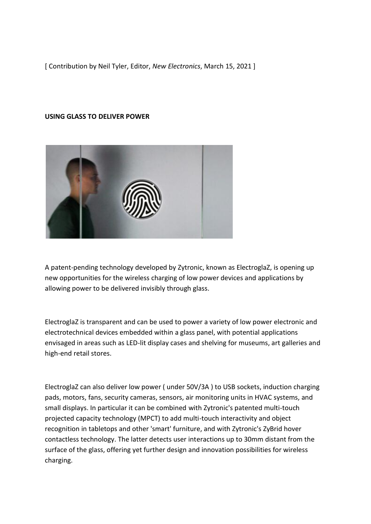[ Contribution by Neil Tyler, Editor, *New Electronics*, March 15, 2021 ]

### **USING GLASS TO DELIVER POWER**



A patent-pending technology developed by Zytronic, known as ElectroglaZ, is opening up new opportunities for the wireless charging of low power devices and applications by allowing power to be delivered invisibly through glass.

ElectroglaZ is transparent and can be used to power a variety of low power electronic and electrotechnical devices embedded within a glass panel, with potential applications envisaged in areas such as LED-lit display cases and shelving for museums, art galleries and high-end retail stores.

ElectroglaZ can also deliver low power ( under 50V/3A ) to USB sockets, induction charging pads, motors, fans, security cameras, sensors, air monitoring units in HVAC systems, and small displays. In particular it can be combined with Zytronic's patented multi-touch projected capacity technology (MPCT) to add multi-touch interactivity and object recognition in tabletops and other 'smart' furniture, and with Zytronic's ZyBrid hover contactless technology. The latter detects user interactions up to 30mm distant from the surface of the glass, offering yet further design and innovation possibilities for wireless charging.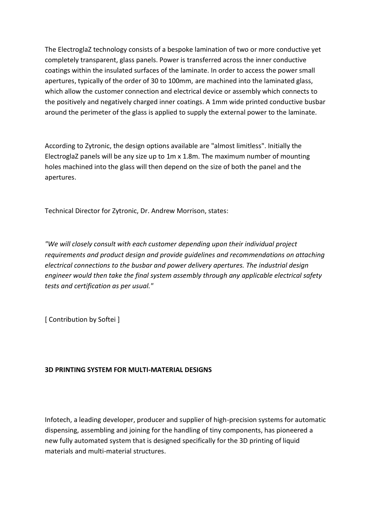The ElectroglaZ technology consists of a bespoke lamination of two or more conductive yet completely transparent, glass panels. Power is transferred across the inner conductive coatings within the insulated surfaces of the laminate. In order to access the power small apertures, typically of the order of 30 to 100mm, are machined into the laminated glass, which allow the customer connection and electrical device or assembly which connects to the positively and negatively charged inner coatings. A 1mm wide printed conductive busbar around the perimeter of the glass is applied to supply the external power to the laminate.

According to Zytronic, the design options available are "almost limitless". Initially the ElectroglaZ panels will be any size up to 1m x 1.8m. The maximum number of mounting holes machined into the glass will then depend on the size of both the panel and the apertures.

Technical Director for Zytronic, Dr. Andrew Morrison, states:

*"We will closely consult with each customer depending upon their individual project requirements and product design and provide guidelines and recommendations on attaching electrical connections to the busbar and power delivery apertures. The industrial design engineer would then take the final system assembly through any applicable electrical safety tests and certification as per usual."*

[ Contribution by Softei ]

## **3D PRINTING SYSTEM FOR MULTI-MATERIAL DESIGNS**

Infotech, a leading developer, producer and supplier of high-precision systems for automatic dispensing, assembling and joining for the handling of tiny components, has pioneered a new fully automated system that is designed specifically for the 3D printing of liquid materials and multi-material structures.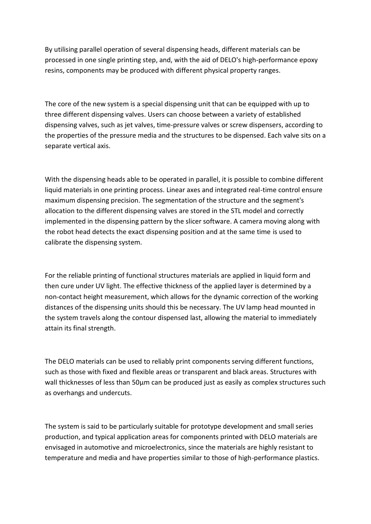By utilising parallel operation of several dispensing heads, different materials can be processed in one single printing step, and, with the aid of DELO's high-performance epoxy resins, components may be produced with different physical property ranges.

The core of the new system is a special dispensing unit that can be equipped with up to three different dispensing valves. Users can choose between a variety of established dispensing valves, such as jet valves, time-pressure valves or screw dispensers, according to the properties of the pressure media and the structures to be dispensed. Each valve sits on a separate vertical axis.

With the dispensing heads able to be operated in parallel, it is possible to combine different liquid materials in one printing process. Linear axes and integrated real-time control ensure maximum dispensing precision. The segmentation of the structure and the segment's allocation to the different dispensing valves are stored in the STL model and correctly implemented in the dispensing pattern by the slicer software. A camera moving along with the robot head detects the exact dispensing position and at the same time is used to calibrate the dispensing system.

For the reliable printing of functional structures materials are applied in liquid form and then cure under UV light. The effective thickness of the applied layer is determined by a non-contact height measurement, which allows for the dynamic correction of the working distances of the dispensing units should this be necessary. The UV lamp head mounted in the system travels along the contour dispensed last, allowing the material to immediately attain its final strength.

The DELO materials can be used to reliably print components serving different functions, such as those with fixed and flexible areas or transparent and black areas. Structures with wall thicknesses of less than 50 $\mu$ m can be produced just as easily as complex structures such as overhangs and undercuts.

The system is said to be particularly suitable for prototype development and small series production, and typical application areas for components printed with DELO materials are envisaged in automotive and microelectronics, since the materials are highly resistant to temperature and media and have properties similar to those of high-performance plastics.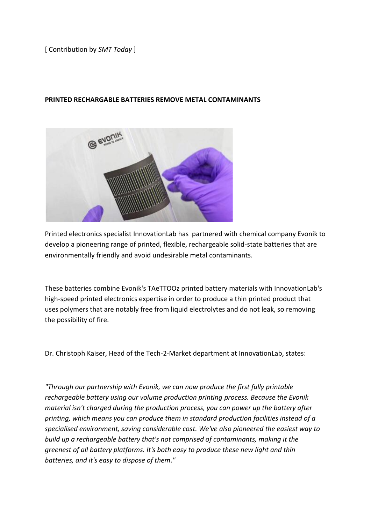## [ Contribution by *SMT Today* ]

### **PRINTED RECHARGABLE BATTERIES REMOVE METAL CONTAMINANTS**



Printed electronics specialist InnovationLab has partnered with chemical company Evonik to develop a pioneering range of printed, flexible, rechargeable solid-state batteries that are environmentally friendly and avoid undesirable metal contaminants.

These batteries combine Evonik's TAeTTOOz printed battery materials with InnovationLab's high-speed printed electronics expertise in order to produce a thin printed product that uses polymers that are notably free from liquid electrolytes and do not leak, so removing the possibility of fire.

Dr. Christoph Kaiser, Head of the Tech-2-Market department at InnovationLab, states:

*"Through our partnership with Evonik, we can now produce the first fully printable rechargeable battery using our volume production printing process. Because the Evonik material isn't charged during the production process, you can power up the battery after printing, which means you can produce them in standard production facilities instead of a specialised environment, saving considerable cost. We've also pioneered the easiest way to build up a rechargeable battery that's not comprised of contaminants, making it the greenest of all battery platforms. It's both easy to produce these new light and thin batteries, and it's easy to dispose of them."*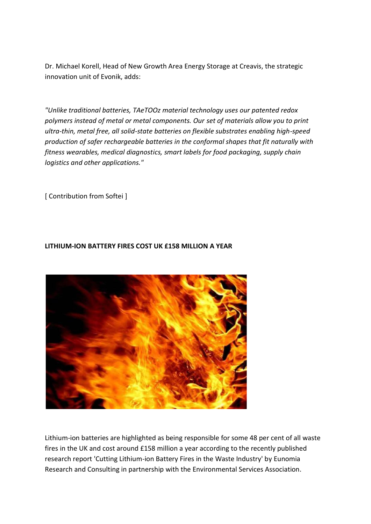Dr. Michael Korell, Head of New Growth Area Energy Storage at Creavis, the strategic innovation unit of Evonik, adds:

*"Unlike traditional batteries, TAeTOOz material technology uses our patented redox polymers instead of metal or metal components. Our set of materials allow you to print ultra-thin, metal free, all solid-state batteries on flexible substrates enabling high-speed production of safer rechargeable batteries in the conformal shapes that fit naturally with fitness wearables, medical diagnostics, smart labels for food packaging, supply chain logistics and other applications."*

[ Contribution from Softei ]

## **LITHIUM-ION BATTERY FIRES COST UK £158 MILLION A YEAR**



Lithium-ion batteries are highlighted as being responsible for some 48 per cent of all waste fires in the UK and cost around £158 million a year according to the recently published research report 'Cutting Lithium-ion Battery Fires in the Waste Industry' by Eunomia Research and Consulting in partnership with the Environmental Services Association.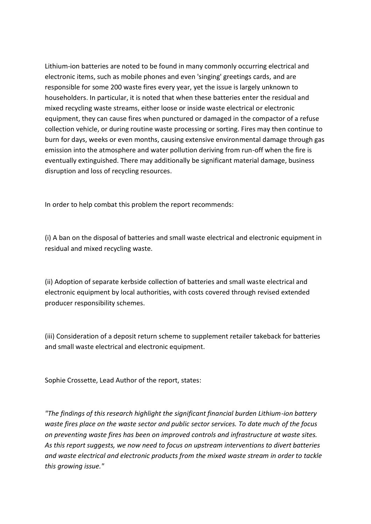Lithium-ion batteries are noted to be found in many commonly occurring electrical and electronic items, such as mobile phones and even 'singing' greetings cards, and are responsible for some 200 waste fires every year, yet the issue is largely unknown to householders. In particular, it is noted that when these batteries enter the residual and mixed recycling waste streams, either loose or inside waste electrical or electronic equipment, they can cause fires when punctured or damaged in the compactor of a refuse collection vehicle, or during routine waste processing or sorting. Fires may then continue to burn for days, weeks or even months, causing extensive environmental damage through gas emission into the atmosphere and water pollution deriving from run-off when the fire is eventually extinguished. There may additionally be significant material damage, business disruption and loss of recycling resources.

In order to help combat this problem the report recommends:

(i) A ban on the disposal of batteries and small waste electrical and electronic equipment in residual and mixed recycling waste.

(ii) Adoption of separate kerbside collection of batteries and small waste electrical and electronic equipment by local authorities, with costs covered through revised extended producer responsibility schemes.

(iii) Consideration of a deposit return scheme to supplement retailer takeback for batteries and small waste electrical and electronic equipment.

Sophie Crossette, Lead Author of the report, states:

*"The findings of this research highlight the significant financial burden Lithium-ion battery waste fires place on the waste sector and public sector services. To date much of the focus on preventing waste fires has been on improved controls and infrastructure at waste sites. As this report suggests, we now need to focus on upstream interventions to divert batteries and waste electrical and electronic products from the mixed waste stream in order to tackle this growing issue."*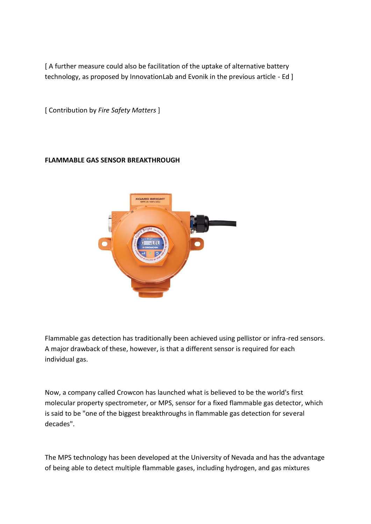[ A further measure could also be facilitation of the uptake of alternative battery technology, as proposed by InnovationLab and Evonik in the previous article - Ed ]

[ Contribution by *Fire Safety Matters* ]

## **FLAMMABLE GAS SENSOR BREAKTHROUGH**



Flammable gas detection has traditionally been achieved using pellistor or infra-red sensors. A major drawback of these, however, is that a different sensor is required for each individual gas.

Now, a company called Crowcon has launched what is believed to be the world's first molecular property spectrometer, or MPS, sensor for a fixed flammable gas detector, which is said to be "one of the biggest breakthroughs in flammable gas detection for several decades".

The MPS technology has been developed at the University of Nevada and has the advantage of being able to detect multiple flammable gases, including hydrogen, and gas mixtures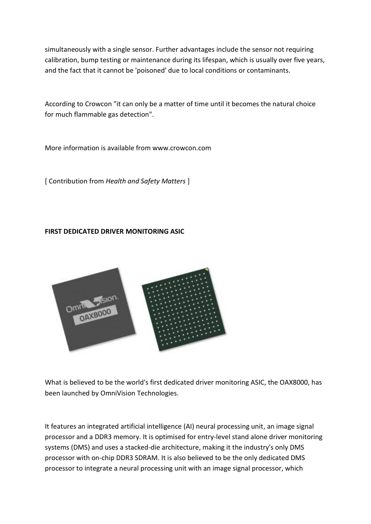simultaneously with a single sensor. Further advantages include the sensor not requiring calibration, bump testing or maintenance during its lifespan, which is usually over five years, and the fact that it cannot be 'poisoned' due to local conditions or contaminants.

According to Crowcon "it can only be a matter of time until it becomes the natural choice for much flammable gas detection".

More information is available from www.crowcon.com

[ Contribution from *Health and Safety Matters* ]

## **FIRST DEDICATED DRIVER MONITORING ASIC**



What is believed to be the world's first dedicated driver monitoring ASIC, the OAX8000, has been launched by OmniVision Technologies.

It features an integrated artificial intelligence (AI) neural processing unit, an image signal processor and a DDR3 memory. It is optimised for entry-level stand alone driver monitoring systems (DMS) and uses a stacked-die architecture, making it the industry's only DMS processor with on-chip DDR3 SDRAM. It is also believed to be the only dedicated DMS processor to integrate a neural processing unit with an image signal processor, which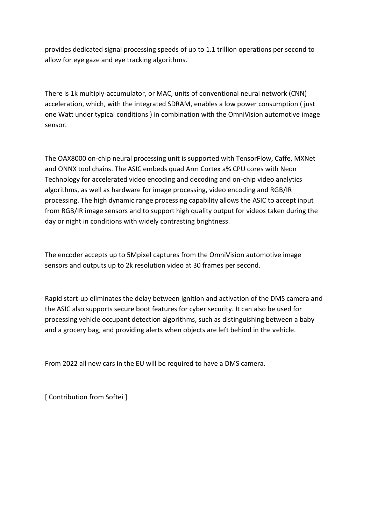provides dedicated signal processing speeds of up to 1.1 trillion operations per second to allow for eye gaze and eye tracking algorithms.

There is 1k multiply-accumulator, or MAC, units of conventional neural network (CNN) acceleration, which, with the integrated SDRAM, enables a low power consumption ( just one Watt under typical conditions ) in combination with the OmniVision automotive image sensor.

The OAX8000 on-chip neural processing unit is supported with TensorFlow, Caffe, MXNet and ONNX tool chains. The ASIC embeds quad Arm Cortex a% CPU cores with Neon Technology for accelerated video encoding and decoding and on-chip video analytics algorithms, as well as hardware for image processing, video encoding and RGB/IR processing. The high dynamic range processing capability allows the ASIC to accept input from RGB/IR image sensors and to support high quality output for videos taken during the day or night in conditions with widely contrasting brightness.

The encoder accepts up to 5Mpixel captures from the OmniVision automotive image sensors and outputs up to 2k resolution video at 30 frames per second.

Rapid start-up eliminates the delay between ignition and activation of the DMS camera and the ASIC also supports secure boot features for cyber security. It can also be used for processing vehicle occupant detection algorithms, such as distinguishing between a baby and a grocery bag, and providing alerts when objects are left behind in the vehicle.

From 2022 all new cars in the EU will be required to have a DMS camera.

[ Contribution from Softei ]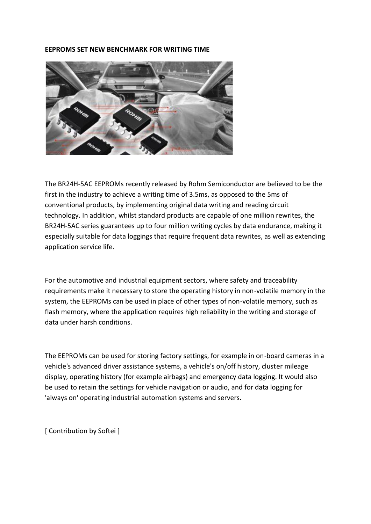#### **EEPROMS SET NEW BENCHMARK FOR WRITING TIME**



The BR24H-5AC EEPROMs recently released by Rohm Semiconductor are believed to be the first in the industry to achieve a writing time of 3.5ms, as opposed to the 5ms of conventional products, by implementing original data writing and reading circuit technology. In addition, whilst standard products are capable of one million rewrites, the BR24H-5AC series guarantees up to four million writing cycles by data endurance, making it especially suitable for data loggings that require frequent data rewrites, as well as extending application service life.

For the automotive and industrial equipment sectors, where safety and traceability requirements make it necessary to store the operating history in non-volatile memory in the system, the EEPROMs can be used in place of other types of non-volatile memory, such as flash memory, where the application requires high reliability in the writing and storage of data under harsh conditions.

The EEPROMs can be used for storing factory settings, for example in on-board cameras in a vehicle's advanced driver assistance systems, a vehicle's on/off history, cluster mileage display, operating history (for example airbags) and emergency data logging. It would also be used to retain the settings for vehicle navigation or audio, and for data logging for 'always on' operating industrial automation systems and servers.

[ Contribution by Softei ]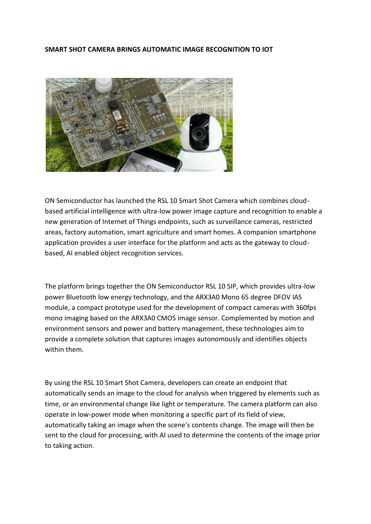### **SMART SHOT CAMERA BRINGS AUTOMATIC IMAGE RECOGNITION TO IOT**



ON Semiconductor has launched the RSL 10 Smart Shot Camera which combines cloudbased artificial intelligence with ultra-low power image capture and recognition to enable a new generation of Internet of Things endpoints, such as surveillance cameras, restricted areas, factory automation, smart agriculture and smart homes. A companion smartphone application provides a user interface for the platform and acts as the gateway to cloudbased, AI enabled object recognition services.

The platform brings together the ON Semiconductor RSL 10 SIP, which provides ultra-low power Bluetooth low energy technology, and the ARX3A0 Mono 65 degree DFOV IAS module, a compact prototype used for the development of compact cameras with 360fps mono imaging based on the ARX3A0 CMOS image sensor. Complemented by motion and environment sensors and power and battery management, these technologies aim to provide a complete solution that captures images autonomously and identifies objects within them.

By using the RSL 10 Smart Shot Camera, developers can create an endpoint that automatically sends an image to the cloud for analysis when triggered by elements such as time, or an environmental change like light or temperature. The camera platform can also operate in low-power mode when monitoring a specific part of its field of view, automatically taking an image when the scene's contents change. The image will then be sent to the cloud for processing, with AI used to determine the contents of the image prior to taking action.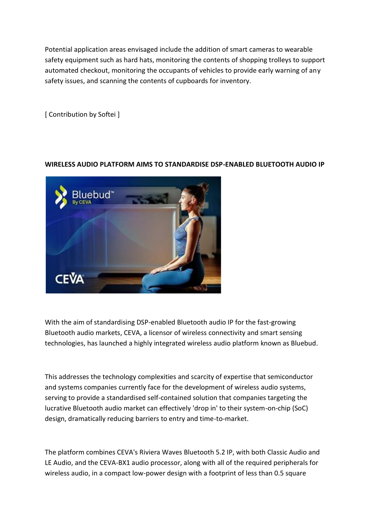Potential application areas envisaged include the addition of smart cameras to wearable safety equipment such as hard hats, monitoring the contents of shopping trolleys to support automated checkout, monitoring the occupants of vehicles to provide early warning of any safety issues, and scanning the contents of cupboards for inventory.

[ Contribution by Softei ]

## **WIRELESS AUDIO PLATFORM AIMS TO STANDARDISE DSP-ENABLED BLUETOOTH AUDIO IP**



With the aim of standardising DSP-enabled Bluetooth audio IP for the fast-growing Bluetooth audio markets, CEVA, a licensor of wireless connectivity and smart sensing technologies, has launched a highly integrated wireless audio platform known as Bluebud.

This addresses the technology complexities and scarcity of expertise that semiconductor and systems companies currently face for the development of wireless audio systems, serving to provide a standardised self-contained solution that companies targeting the lucrative Bluetooth audio market can effectively 'drop in' to their system-on-chip (SoC) design, dramatically reducing barriers to entry and time-to-market.

The platform combines CEVA's Riviera Waves Bluetooth 5.2 IP, with both Classic Audio and LE Audio, and the CEVA-BX1 audio processor, along with all of the required peripherals for wireless audio, in a compact low-power design with a footprint of less than 0.5 square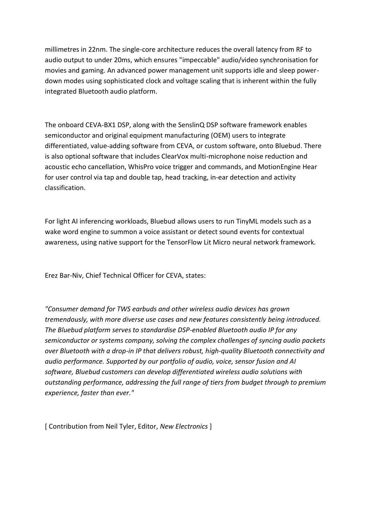millimetres in 22nm. The single-core architecture reduces the overall latency from RF to audio output to under 20ms, which ensures "impeccable" audio/video synchronisation for movies and gaming. An advanced power management unit supports idle and sleep powerdown modes using sophisticated clock and voltage scaling that is inherent within the fully integrated Bluetooth audio platform.

The onboard CEVA-BX1 DSP, along with the SenslinQ DSP software framework enables semiconductor and original equipment manufacturing (OEM) users to integrate differentiated, value-adding software from CEVA, or custom software, onto Bluebud. There is also optional software that includes ClearVox multi-microphone noise reduction and acoustic echo cancellation, WhisPro voice trigger and commands, and MotionEngine Hear for user control via tap and double tap, head tracking, in-ear detection and activity classification.

For light AI inferencing workloads, Bluebud allows users to run TinyML models such as a wake word engine to summon a voice assistant or detect sound events for contextual awareness, using native support for the TensorFlow Lit Micro neural network framework.

Erez Bar-Niv, Chief Technical Officer for CEVA, states:

*"Consumer demand for TWS earbuds and other wireless audio devices has grown tremendously, with more diverse use cases and new features consistently being introduced. The Bluebud platform serves to standardise DSP-enabled Bluetooth audio IP for any semiconductor or systems company, solving the complex challenges of syncing audio packets over Bluetooth with a drop-in IP that delivers robust, high-quality Bluetooth connectivity and audio performance. Supported by our portfolio of audio, voice, sensor fusion and AI software, Bluebud customers can develop differentiated wireless audio solutions with outstanding performance, addressing the full range of tiers from budget through to premium experience, faster than ever."*

[ Contribution from Neil Tyler, Editor, *New Electronics* ]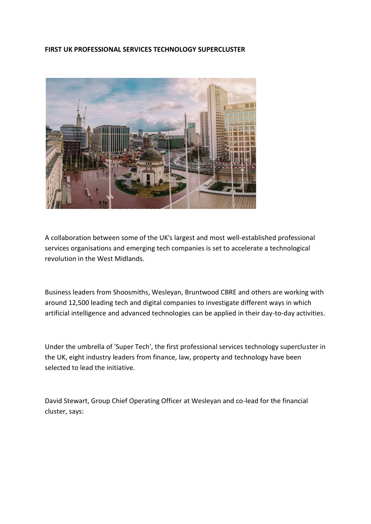### **FIRST UK PROFESSIONAL SERVICES TECHNOLOGY SUPERCLUSTER**



A collaboration between some of the UK's largest and most well-established professional services organisations and emerging tech companies is set to accelerate a technological revolution in the West Midlands.

Business leaders from Shoosmiths, Wesleyan, Bruntwood CBRE and others are working with around 12,500 leading tech and digital companies to investigate different ways in which artificial intelligence and advanced technologies can be applied in their day-to-day activities.

Under the umbrella of 'Super Tech', the first professional services technology supercluster in the UK, eight industry leaders from finance, law, property and technology have been selected to lead the initiative.

David Stewart, Group Chief Operating Officer at Wesleyan and co-lead for the financial cluster, says: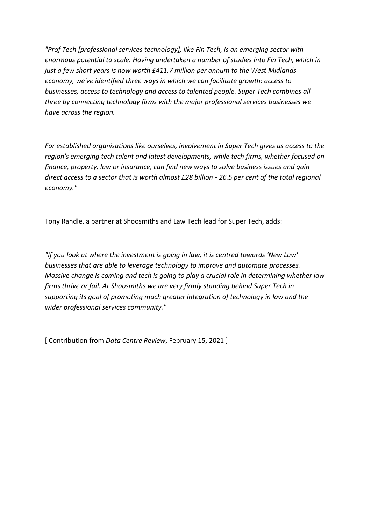*"Prof Tech [professional services technology], like Fin Tech, is an emerging sector with enormous potential to scale. Having undertaken a number of studies into Fin Tech, which in just a few short years is now worth £411.7 million per annum to the West Midlands economy, we've identified three ways in which we can facilitate growth: access to businesses, access to technology and access to talented people. Super Tech combines all three by connecting technology firms with the major professional services businesses we have across the region.*

*For established organisations like ourselves, involvement in Super Tech gives us access to the region's emerging tech talent and latest developments, while tech firms, whether focused on finance, property, law or insurance, can find new ways to solve business issues and gain direct access to a sector that is worth almost £28 billion - 26.5 per cent of the total regional economy."*

Tony Randle, a partner at Shoosmiths and Law Tech lead for Super Tech, adds:

*"If you look at where the investment is going in law, it is centred towards 'New Law' businesses that are able to leverage technology to improve and automate processes. Massive change is coming and tech is going to play a crucial role in determining whether law firms thrive or fail. At Shoosmiths we are very firmly standing behind Super Tech in supporting its goal of promoting much greater integration of technology in law and the wider professional services community."*

[ Contribution from *Data Centre Review*, February 15, 2021 ]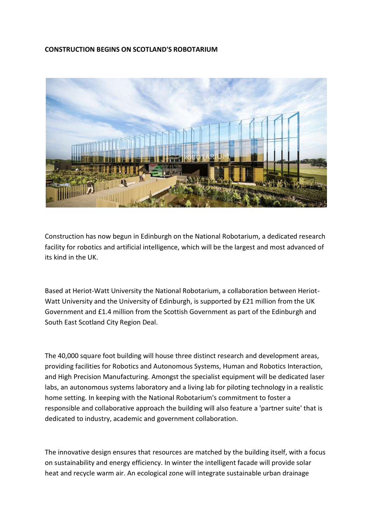### **CONSTRUCTION BEGINS ON SCOTLAND'S ROBOTARIUM**



Construction has now begun in Edinburgh on the National Robotarium, a dedicated research facility for robotics and artificial intelligence, which will be the largest and most advanced of its kind in the UK.

Based at Heriot-Watt University the National Robotarium, a collaboration between Heriot-Watt University and the University of Edinburgh, is supported by £21 million from the UK Government and £1.4 million from the Scottish Government as part of the Edinburgh and South East Scotland City Region Deal.

The 40,000 square foot building will house three distinct research and development areas, providing facilities for Robotics and Autonomous Systems, Human and Robotics Interaction, and High Precision Manufacturing. Amongst the specialist equipment will be dedicated laser labs, an autonomous systems laboratory and a living lab for piloting technology in a realistic home setting. In keeping with the National Robotarium's commitment to foster a responsible and collaborative approach the building will also feature a 'partner suite' that is dedicated to industry, academic and government collaboration.

The innovative design ensures that resources are matched by the building itself, with a focus on sustainability and energy efficiency. In winter the intelligent facade will provide solar heat and recycle warm air. An ecological zone will integrate sustainable urban drainage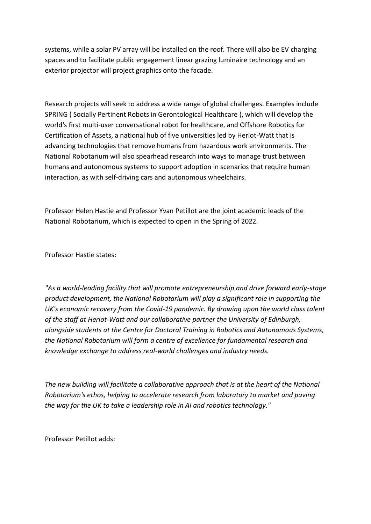systems, while a solar PV array will be installed on the roof. There will also be EV charging spaces and to facilitate public engagement linear grazing luminaire technology and an exterior projector will project graphics onto the facade.

Research projects will seek to address a wide range of global challenges. Examples include SPRING ( Socially Pertinent Robots in Gerontological Healthcare ), which will develop the world's first multi-user conversational robot for healthcare, and Offshore Robotics for Certification of Assets, a national hub of five universities led by Heriot-Watt that is advancing technologies that remove humans from hazardous work environments. The National Robotarium will also spearhead research into ways to manage trust between humans and autonomous systems to support adoption in scenarios that require human interaction, as with self-driving cars and autonomous wheelchairs.

Professor Helen Hastie and Professor Yvan Petillot are the joint academic leads of the National Robotarium, which is expected to open in the Spring of 2022.

Professor Hastie states:

*"As a world-leading facility that will promote entrepreneurship and drive forward early-stage product development, the National Robotarium will play a significant role in supporting the UK's economic recovery from the Covid-19 pandemic. By drawing upon the world class talent of the staff at Heriot-Watt and our collaborative partner the University of Edinburgh, alongside students at the Centre for Doctoral Training in Robotics and Autonomous Systems, the National Robotarium will form a centre of excellence for fundamental research and knowledge exchange to address real-world challenges and industry needs.*

*The new building will facilitate a collaborative approach that is at the heart of the National Robotarium's ethos, helping to accelerate research from laboratory to market and paving the way for the UK to take a leadership role in AI and robotics technology."* 

Professor Petillot adds: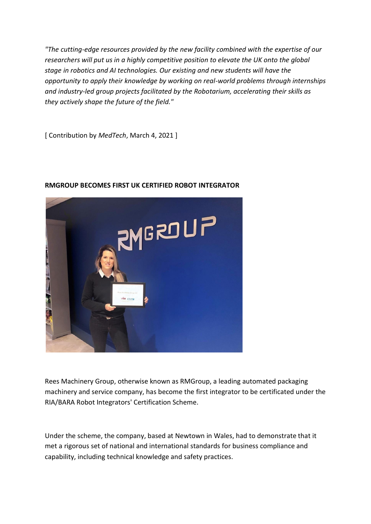*"The cutting-edge resources provided by the new facility combined with the expertise of our researchers will put us in a highly competitive position to elevate the UK onto the global stage in robotics and AI technologies. Our existing and new students will have the opportunity to apply their knowledge by working on real-world problems through internships and industry-led group projects facilitated by the Robotarium, accelerating their skills as they actively shape the future of the field."*

[ Contribution by *MedTech*, March 4, 2021 ]



### **RMGROUP BECOMES FIRST UK CERTIFIED ROBOT INTEGRATOR**

Rees Machinery Group, otherwise known as RMGroup, a leading automated packaging machinery and service company, has become the first integrator to be certificated under the RIA/BARA Robot Integrators' Certification Scheme.

Under the scheme, the company, based at Newtown in Wales, had to demonstrate that it met a rigorous set of national and international standards for business compliance and capability, including technical knowledge and safety practices.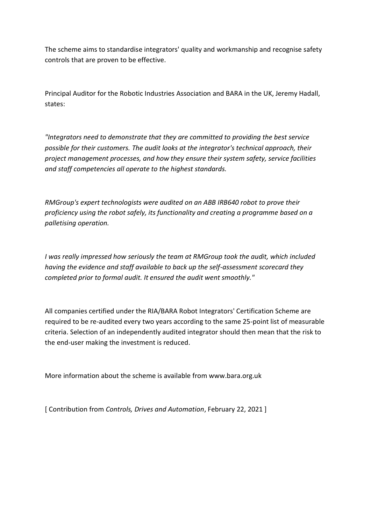The scheme aims to standardise integrators' quality and workmanship and recognise safety controls that are proven to be effective.

Principal Auditor for the Robotic Industries Association and BARA in the UK, Jeremy Hadall, states:

*"Integrators need to demonstrate that they are committed to providing the best service possible for their customers. The audit looks at the integrator's technical approach, their project management processes, and how they ensure their system safety, service facilities and staff competencies all operate to the highest standards.*

*RMGroup's expert technologists were audited on an ABB IRB640 robot to prove their proficiency using the robot safely, its functionality and creating a programme based on a palletising operation.*

*I was really impressed how seriously the team at RMGroup took the audit, which included having the evidence and staff available to back up the self-assessment scorecard they completed prior to formal audit. It ensured the audit went smoothly."*

All companies certified under the RIA/BARA Robot Integrators' Certification Scheme are required to be re-audited every two years according to the same 25-point list of measurable criteria. Selection of an independently audited integrator should then mean that the risk to the end-user making the investment is reduced.

More information about the scheme is available from www.bara.org.uk

[ Contribution from *Controls, Drives and Automation*, February 22, 2021 ]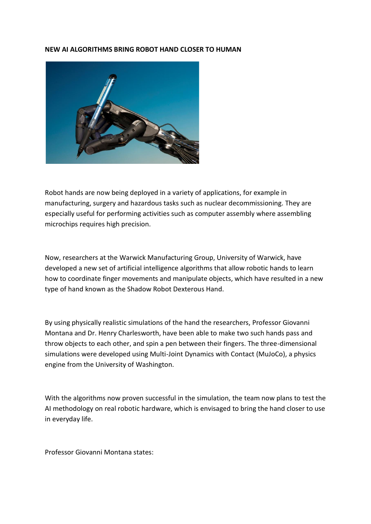#### **NEW AI ALGORITHMS BRING ROBOT HAND CLOSER TO HUMAN**



Robot hands are now being deployed in a variety of applications, for example in manufacturing, surgery and hazardous tasks such as nuclear decommissioning. They are especially useful for performing activities such as computer assembly where assembling microchips requires high precision.

Now, researchers at the Warwick Manufacturing Group, University of Warwick, have developed a new set of artificial intelligence algorithms that allow robotic hands to learn how to coordinate finger movements and manipulate objects, which have resulted in a new type of hand known as the Shadow Robot Dexterous Hand.

By using physically realistic simulations of the hand the researchers, Professor Giovanni Montana and Dr. Henry Charlesworth, have been able to make two such hands pass and throw objects to each other, and spin a pen between their fingers. The three-dimensional simulations were developed using Multi-Joint Dynamics with Contact (MuJoCo), a physics engine from the University of Washington.

With the algorithms now proven successful in the simulation, the team now plans to test the AI methodology on real robotic hardware, which is envisaged to bring the hand closer to use in everyday life.

Professor Giovanni Montana states: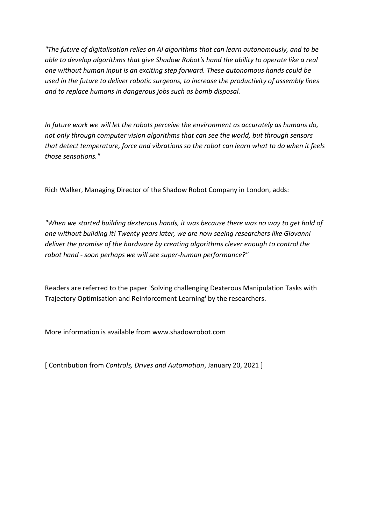*"The future of digitalisation relies on AI algorithms that can learn autonomously, and to be able to develop algorithms that give Shadow Robot's hand the ability to operate like a real one without human input is an exciting step forward. These autonomous hands could be used in the future to deliver robotic surgeons, to increase the productivity of assembly lines and to replace humans in dangerous jobs such as bomb disposal.*

*In future work we will let the robots perceive the environment as accurately as humans do, not only through computer vision algorithms that can see the world, but through sensors that detect temperature, force and vibrations so the robot can learn what to do when it feels those sensations."*

Rich Walker, Managing Director of the Shadow Robot Company in London, adds:

*"When we started building dexterous hands, it was because there was no way to get hold of one without building it! Twenty years later, we are now seeing researchers like Giovanni deliver the promise of the hardware by creating algorithms clever enough to control the robot hand - soon perhaps we will see super-human performance?"*

Readers are referred to the paper 'Solving challenging Dexterous Manipulation Tasks with Trajectory Optimisation and Reinforcement Learning' by the researchers.

More information is available from www.shadowrobot.com

[ Contribution from *Controls, Drives and Automation*, January 20, 2021 ]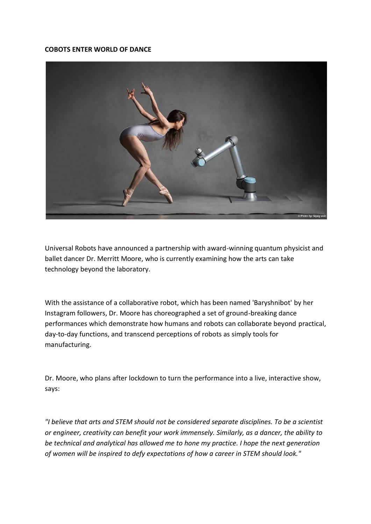### **COBOTS ENTER WORLD OF DANCE**



Universal Robots have announced a partnership with award-winning quantum physicist and ballet dancer Dr. Merritt Moore, who is currently examining how the arts can take technology beyond the laboratory.

With the assistance of a collaborative robot, which has been named 'Baryshnibot' by her Instagram followers, Dr. Moore has choreographed a set of ground-breaking dance performances which demonstrate how humans and robots can collaborate beyond practical, day-to-day functions, and transcend perceptions of robots as simply tools for manufacturing.

Dr. Moore, who plans after lockdown to turn the performance into a live, interactive show, says:

*"I believe that arts and STEM should not be considered separate disciplines. To be a scientist or engineer, creativity can benefit your work immensely. Similarly, as a dancer, the ability to be technical and analytical has allowed me to hone my practice. I hope the next generation of women will be inspired to defy expectations of how a career in STEM should look."*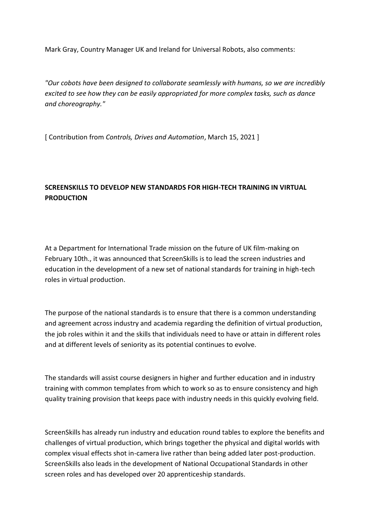Mark Gray, Country Manager UK and Ireland for Universal Robots, also comments:

*"Our cobots have been designed to collaborate seamlessly with humans, so we are incredibly excited to see how they can be easily appropriated for more complex tasks, such as dance and choreography."*

[ Contribution from *Controls, Drives and Automation*, March 15, 2021 ]

# **SCREENSKILLS TO DEVELOP NEW STANDARDS FOR HIGH-TECH TRAINING IN VIRTUAL PRODUCTION**

At a Department for International Trade mission on the future of UK film-making on February 10th., it was announced that ScreenSkills is to lead the screen industries and education in the development of a new set of national standards for training in high-tech roles in virtual production.

The purpose of the national standards is to ensure that there is a common understanding and agreement across industry and academia regarding the definition of virtual production, the job roles within it and the skills that individuals need to have or attain in different roles and at different levels of seniority as its potential continues to evolve.

The standards will assist course designers in higher and further education and in industry training with common templates from which to work so as to ensure consistency and high quality training provision that keeps pace with industry needs in this quickly evolving field.

ScreenSkills has already run industry and education round tables to explore the benefits and challenges of virtual production, which brings together the physical and digital worlds with complex visual effects shot in-camera live rather than being added later post-production. ScreenSkills also leads in the development of National Occupational Standards in other screen roles and has developed over 20 apprenticeship standards.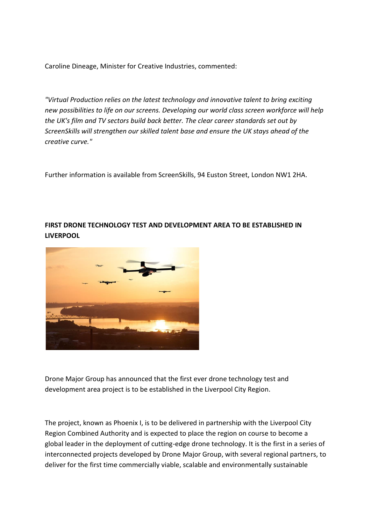Caroline Dineage, Minister for Creative Industries, commented:

*"Virtual Production relies on the latest technology and innovative talent to bring exciting new possibilities to life on our screens. Developing our world class screen workforce will help the UK's film and TV sectors build back better. The clear career standards set out by ScreenSkills will strengthen our skilled talent base and ensure the UK stays ahead of the creative curve."*

Further information is available from ScreenSkills, 94 Euston Street, London NW1 2HA.

## **FIRST DRONE TECHNOLOGY TEST AND DEVELOPMENT AREA TO BE ESTABLISHED IN LIVERPOOL**



Drone Major Group has announced that the first ever drone technology test and development area project is to be established in the Liverpool City Region.

The project, known as Phoenix I, is to be delivered in partnership with the Liverpool City Region Combined Authority and is expected to place the region on course to become a global leader in the deployment of cutting-edge drone technology. It is the first in a series of interconnected projects developed by Drone Major Group, with several regional partners, to deliver for the first time commercially viable, scalable and environmentally sustainable